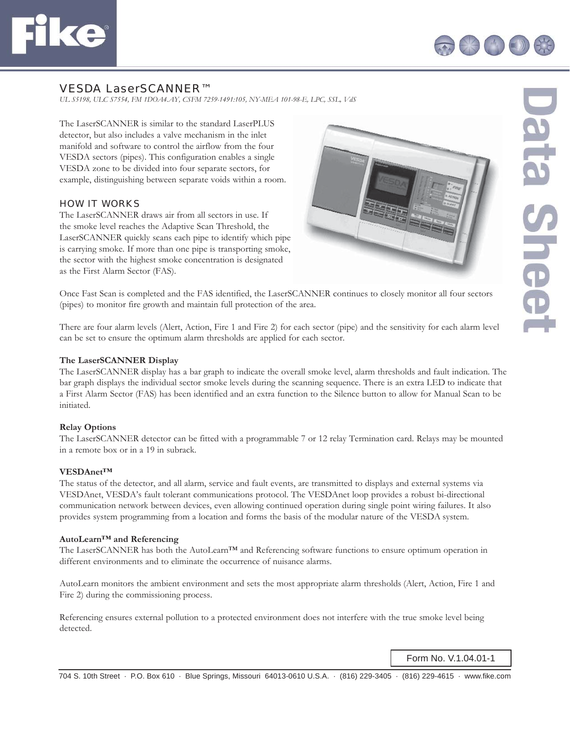



# VESDA LaserSCANNER™

*UL S5198, ULC S7554, FM 1DOA4.AY, CSFM 7259-1491:105, NY-MEA 101-98-E, LPC, SSL, VdS*

The LaserSCANNER is similar to the standard LaserPLUS detector, but also includes a valve mechanism in the inlet manifold and software to control the airflow from the four VESDA sectors (pipes). This configuration enables a single VESDA zone to be divided into four separate sectors, for example, distinguishing between separate voids within a room.

## HOW IT WORKS

The LaserSCANNER draws air from all sectors in use. If the smoke level reaches the Adaptive Scan Threshold, the LaserSCANNER quickly scans each pipe to identify which pipe is carrying smoke. If more than one pipe is transporting smoke, the sector with the highest smoke concentration is designated as the First Alarm Sector (FAS).



Once Fast Scan is completed and the FAS identified, the LaserSCANNER continues to closely monitor all four sectors (pipes) to monitor fire growth and maintain full protection of the area.

There are four alarm levels (Alert, Action, Fire 1 and Fire 2) for each sector (pipe) and the sensitivity for each alarm level can be set to ensure the optimum alarm thresholds are applied for each sector.

### **The LaserSCANNER Display**

The LaserSCANNER display has a bar graph to indicate the overall smoke level, alarm thresholds and fault indication. The bar graph displays the individual sector smoke levels during the scanning sequence. There is an extra LED to indicate that a First Alarm Sector (FAS) has been identified and an extra function to the Silence button to allow for Manual Scan to be initiated.

### **Relay Options**

The LaserSCANNER detector can be fitted with a programmable 7 or 12 relay Termination card. Relays may be mounted in a remote box or in a 19 in subrack.

## **VESDAnet™**

The status of the detector, and all alarm, service and fault events, are transmitted to displays and external systems via VESDAnet, VESDA's fault tolerant communications protocol. The VESDAnet loop provides a robust bi-directional communication network between devices, even allowing continued operation during single point wiring failures. It also provides system programming from a location and forms the basis of the modular nature of the VESDA system.

#### **AutoLearn™ and Referencing**

The LaserSCANNER has both the AutoLearn™ and Referencing software functions to ensure optimum operation in different environments and to eliminate the occurrence of nuisance alarms.

AutoLearn monitors the ambient environment and sets the most appropriate alarm thresholds (Alert, Action, Fire 1 and Fire 2) during the commissioning process.

Referencing ensures external pollution to a protected environment does not interfere with the true smoke level being detected.

Form No. V.1.04.01-1

704 S. 10th Street · P.O. Box 610 · Blue Springs, Missouri 64013-0610 U.S.A. · (816) 229-3405 · (816) 229-4615 · www.fi ke.com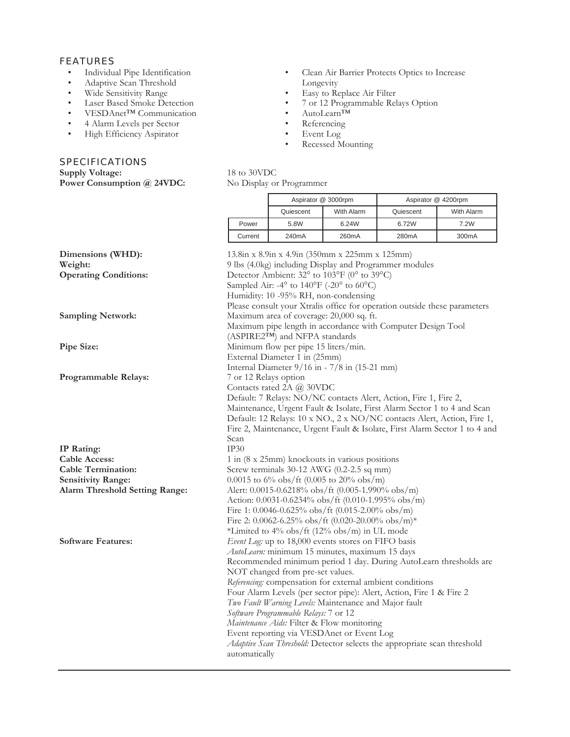## FEATURES

- Individual Pipe Identification<br>• Adaptive Scan Threshold
- Adaptive Scan Threshold
- Wide Sensitivity Range
- Laser Based Smoke Detection<br>• VESDAnet<sup>TM</sup> Communication
- VESDAnet™ Communication
- 4 Alarm Levels per Sector
- High Efficiency Aspirator

# **SPECIFICATIONS**

**Supply Voltage:** 18 to 30VDC<br> **Power Consumption @ 24VDC:** No Display or Programmer Power Consumption @ 24VDC:

- Clean Air Barrier Protects Optics to Increase Longevity
- Easy to Replace Air Filter
	- 7 or 12 Programmable Relays Option
	- AutoLearn™
	- Referencing
	- Event Log
	- Recessed Mounting

|  |         | Aspirator @ 3000rpm |                    | Aspirator @ 4200rpm |                    |
|--|---------|---------------------|--------------------|---------------------|--------------------|
|  |         | Quiescent           | With Alarm         | Quiescent           | With Alarm         |
|  | Power   | 5.8W                | 6.24W              | 6.72W               | 7.2W               |
|  | Current | 240 <sub>m</sub> A  | 260 <sub>m</sub> A | 280 <sub>m</sub> A  | 300 <sub>m</sub> A |
|  |         |                     |                    |                     |                    |

| 9 lbs (4.0kg) including Display and Programmer modules<br>Detector Ambient: $32^{\circ}$ to $103^{\circ}F$ (0° to $39^{\circ}C$ ) |
|-----------------------------------------------------------------------------------------------------------------------------------|
|                                                                                                                                   |
|                                                                                                                                   |
| Sampled Air: -4 $\degree$ to 140 $\degree$ F (-20 $\degree$ to 60 $\degree$ C)                                                    |
| Humidity: 10 -95% RH, non-condensing                                                                                              |
| Please consult your Xtralis office for operation outside these parameters                                                         |
| Maximum area of coverage: 20,000 sq. ft.                                                                                          |
| Maximum pipe length in accordance with Computer Design Tool                                                                       |
| (ASPIRE2TM) and NFPA standards                                                                                                    |
| Minimum flow per pipe 15 liters/min.                                                                                              |
|                                                                                                                                   |
| Internal Diameter $9/16$ in $-7/8$ in (15-21 mm)                                                                                  |
|                                                                                                                                   |
|                                                                                                                                   |
| Default: 7 Relays: NO/NC contacts Alert, Action, Fire 1, Fire 2,                                                                  |
| Maintenance, Urgent Fault & Isolate, First Alarm Sector 1 to 4 and Scan                                                           |
| Default: 12 Relays: 10 x NO., 2 x NO/NC contacts Alert, Action, Fire 1,                                                           |
| Fire 2, Maintenance, Urgent Fault & Isolate, First Alarm Sector 1 to 4 and                                                        |
|                                                                                                                                   |
|                                                                                                                                   |
| 1 in (8 x 25mm) knockouts in various positions                                                                                    |
| Screw terminals $30-12$ AWG (0.2-2.5 sq mm)                                                                                       |
| 0.0015 to 6% obs/ft (0.005 to 20% obs/m)                                                                                          |
| Alert: 0.0015-0.6218% obs/ft (0.005-1.990% obs/m)                                                                                 |
| Action: $0.0031 - 0.6234\%$ obs/ft (0.010-1.995% obs/m)                                                                           |
| Fire 1: $0.0046 - 0.625\%$ obs/ft (0.015-2.00% obs/m)                                                                             |
| Fire 2: 0.0062-6.25% obs/ft (0.020-20.00% obs/m)*                                                                                 |
| *Limited to 4% obs/ft (12% obs/m) in UL mode                                                                                      |
| Event Log: up to 18,000 events stores on FIFO basis                                                                               |
| AutoLearn: minimum 15 minutes, maximum 15 days                                                                                    |
| Recommended minimum period 1 day. During AutoLearn thresholds are                                                                 |
|                                                                                                                                   |
| Referencing: compensation for external ambient conditions                                                                         |
| Four Alarm Levels (per sector pipe): Alert, Action, Fire 1 & Fire 2                                                               |
| Two Fault Warning Levels: Maintenance and Major fault                                                                             |
|                                                                                                                                   |
| Maintenance Aids: Filter & Flow monitoring                                                                                        |
| Event reporting via VESDAnet or Event Log                                                                                         |
| Adaptive Scan Threshold: Detector selects the appropriate scan threshold                                                          |
|                                                                                                                                   |
| Software Programmable Relays: 7 or 12                                                                                             |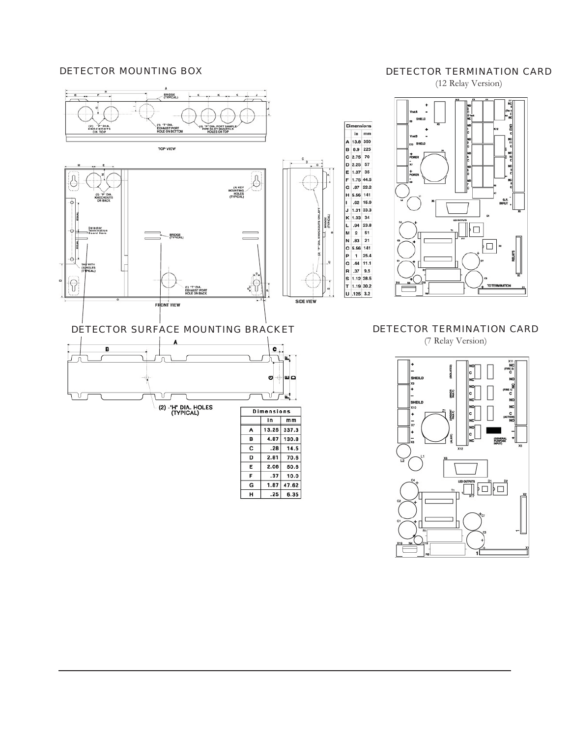## DETECTOR MOUNTING BOX

# DETECTOR TERMINATION CARD